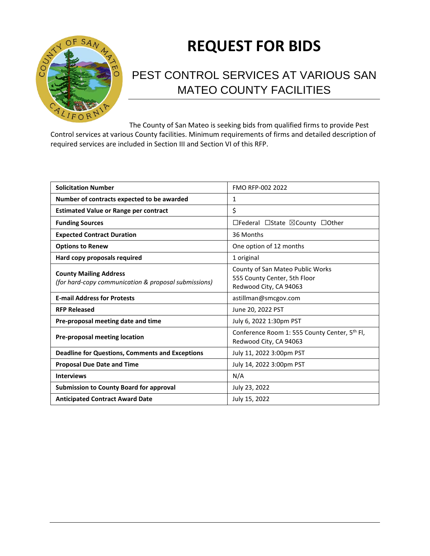

# **REQUEST FOR BIDS**

## PEST CONTROL SERVICES AT VARIOUS SAN MATEO COUNTY FACILITIES

The County of San Mateo is seeking bids from qualified firms to provide Pest Control services at various County facilities. Minimum requirements of firms and detailed description of required services are included in Section III and Section VI of this RFP.

| <b>Solicitation Number</b>                                                            | FMO RFP-002 2022                                                                           |
|---------------------------------------------------------------------------------------|--------------------------------------------------------------------------------------------|
| Number of contracts expected to be awarded                                            | 1                                                                                          |
| <b>Estimated Value or Range per contract</b>                                          | \$                                                                                         |
| <b>Funding Sources</b>                                                                | □Federal □State ⊠County □Other                                                             |
| <b>Expected Contract Duration</b>                                                     | 36 Months                                                                                  |
| <b>Options to Renew</b>                                                               | One option of 12 months                                                                    |
| Hard copy proposals required                                                          | 1 original                                                                                 |
| <b>County Mailing Address</b><br>(for hard-copy communication & proposal submissions) | County of San Mateo Public Works<br>555 County Center, 5th Floor<br>Redwood City, CA 94063 |
| <b>E-mail Address for Protests</b>                                                    | astillman@smcgov.com                                                                       |
| <b>RFP Released</b>                                                                   | June 20, 2022 PST                                                                          |
| Pre-proposal meeting date and time                                                    | July 6, 2022 1:30pm PST                                                                    |
| <b>Pre-proposal meeting location</b>                                                  | Conference Room 1: 555 County Center, 5 <sup>th</sup> Fl,<br>Redwood City, CA 94063        |
| <b>Deadline for Questions, Comments and Exceptions</b>                                | July 11, 2022 3:00pm PST                                                                   |
| <b>Proposal Due Date and Time</b>                                                     | July 14, 2022 3:00pm PST                                                                   |
| <b>Interviews</b>                                                                     | N/A                                                                                        |
| <b>Submission to County Board for approval</b>                                        | July 23, 2022                                                                              |
| <b>Anticipated Contract Award Date</b>                                                | July 15, 2022                                                                              |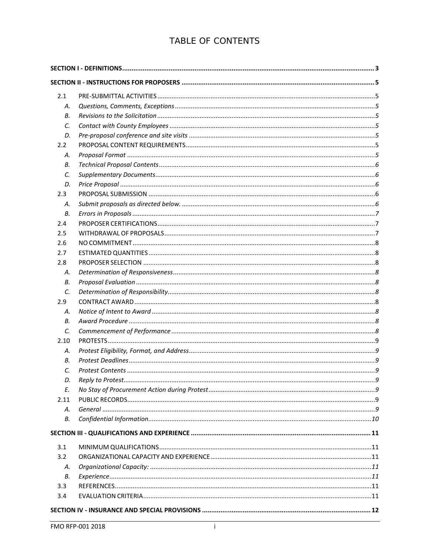### TABLE OF CONTENTS

| 2.1  |  |  |
|------|--|--|
| А.   |  |  |
| В.   |  |  |
| C.   |  |  |
| D.   |  |  |
| 2.2  |  |  |
| А.   |  |  |
| В.   |  |  |
| C.   |  |  |
| D.   |  |  |
| 2.3  |  |  |
| А.   |  |  |
| В.   |  |  |
| 2.4  |  |  |
| 2.5  |  |  |
| 2.6  |  |  |
| 2.7  |  |  |
| 2.8  |  |  |
| Α.   |  |  |
| В.   |  |  |
| C.   |  |  |
| 2.9  |  |  |
| А.   |  |  |
| В.   |  |  |
| C.   |  |  |
| 2.10 |  |  |
| А.   |  |  |
| В.   |  |  |
| C.   |  |  |
| D.   |  |  |
| E.   |  |  |
| 2.11 |  |  |
| А.   |  |  |
| В.   |  |  |
|      |  |  |
| 3.1  |  |  |
| 3.2  |  |  |
| А.   |  |  |
| В.   |  |  |
| 3.3  |  |  |
| 3.4  |  |  |
|      |  |  |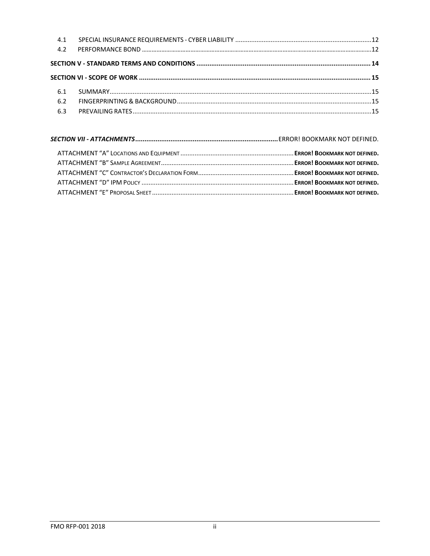| 4.1 |  |
|-----|--|
| 4.2 |  |
|     |  |
|     |  |
|     |  |
| 6.2 |  |
| 6.3 |  |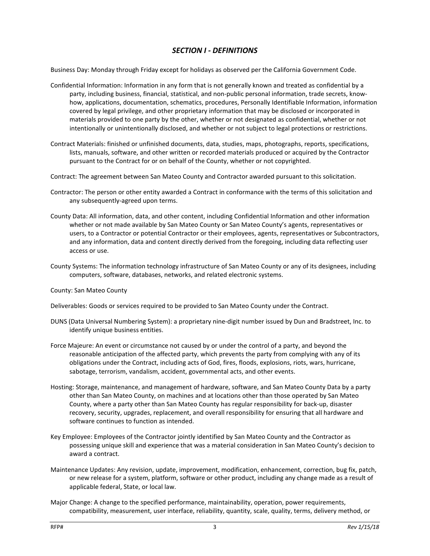#### *SECTION I - DEFINITIONS*

<span id="page-3-0"></span>Business Day: Monday through Friday except for holidays as observed per the California Government Code.

- Confidential Information: Information in any form that is not generally known and treated as confidential by a party, including business, financial, statistical, and non-public personal information, trade secrets, knowhow, applications, documentation, schematics, procedures, Personally Identifiable Information, information covered by legal privilege, and other proprietary information that may be disclosed or incorporated in materials provided to one party by the other, whether or not designated as confidential, whether or not intentionally or unintentionally disclosed, and whether or not subject to legal protections or restrictions.
- Contract Materials: finished or unfinished documents, data, studies, maps, photographs, reports, specifications, lists, manuals, software, and other written or recorded materials produced or acquired by the Contractor pursuant to the Contract for or on behalf of the County, whether or not copyrighted.
- Contract: The agreement between San Mateo County and Contractor awarded pursuant to this solicitation.
- Contractor: The person or other entity awarded a Contract in conformance with the terms of this solicitation and any subsequently-agreed upon terms.
- County Data: All information, data, and other content, including Confidential Information and other information whether or not made available by San Mateo County or San Mateo County's agents, representatives or users, to a Contractor or potential Contractor or their employees, agents, representatives or Subcontractors, and any information, data and content directly derived from the foregoing, including data reflecting user access or use.
- County Systems: The information technology infrastructure of San Mateo County or any of its designees, including computers, software, databases, networks, and related electronic systems.
- County: San Mateo County

Deliverables: Goods or services required to be provided to San Mateo County under the Contract.

- DUNS (Data Universal Numbering System): a proprietary nine-digit number issued by Dun and Bradstreet, Inc. to identify unique business entities.
- Force Majeure: An event or circumstance not caused by or under the control of a party, and beyond the reasonable anticipation of the affected party, which prevents the party from complying with any of its obligations under the Contract, including acts of God, fires, floods, explosions, riots, wars, hurricane, sabotage, terrorism, vandalism, accident, governmental acts, and other events.
- Hosting: Storage, maintenance, and management of hardware, software, and San Mateo County Data by a party other than San Mateo County, on machines and at locations other than those operated by San Mateo County, where a party other than San Mateo County has regular responsibility for back-up, disaster recovery, security, upgrades, replacement, and overall responsibility for ensuring that all hardware and software continues to function as intended.
- Key Employee: Employees of the Contractor jointly identified by San Mateo County and the Contractor as possessing unique skill and experience that was a material consideration in San Mateo County's decision to award a contract.
- Maintenance Updates: Any revision, update, improvement, modification, enhancement, correction, bug fix, patch, or new release for a system, platform, software or other product, including any change made as a result of applicable federal, State, or local law.
- Major Change: A change to the specified performance, maintainability, operation, power requirements, compatibility, measurement, user interface, reliability, quantity, scale, quality, terms, delivery method, or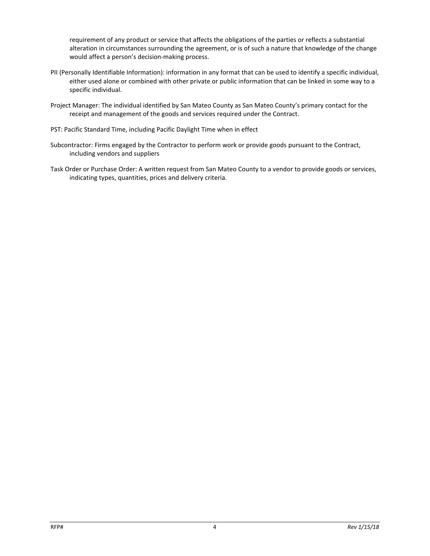requirement of any product or service that affects the obligations of the parties or reflects a substantial alteration in circumstances surrounding the agreement, or is of such a nature that knowledge of the change would affect a person's decision-making process.

- PII (Personally Identifiable Information): information in any format that can be used to identify a specific individual, either used alone or combined with other private or public information that can be linked in some way to a specific individual.
- Project Manager: The individual identified by San Mateo County as San Mateo County's primary contact for the receipt and management of the goods and services required under the Contract.
- PST: Pacific Standard Time, including Pacific Daylight Time when in effect
- Subcontractor: Firms engaged by the Contractor to perform work or provide goods pursuant to the Contract, including vendors and suppliers
- Task Order or Purchase Order: A written request from San Mateo County to a vendor to provide goods or services, indicating types, quantities, prices and delivery criteria.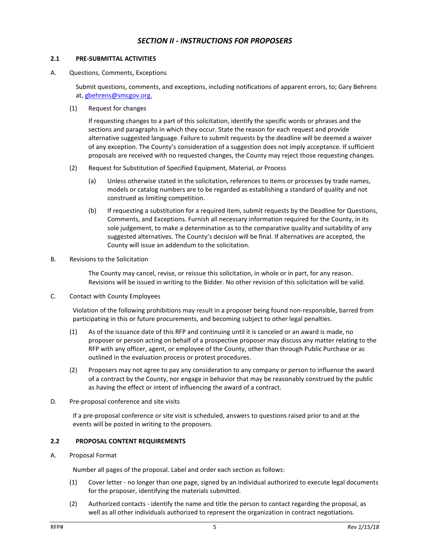#### *SECTION II - INSTRUCTIONS FOR PROPOSERS*

#### <span id="page-5-1"></span><span id="page-5-0"></span>**2.1 PRE-SUBMITTAL ACTIVITIES**

<span id="page-5-2"></span>A. Questions, Comments, Exceptions

Submit questions, comments, and exceptions, including notifications of apparent errors, to; Gary Behrens at, [gbehrens@smcgov.org.](mailto:gbehrens@smcgov.org) 

(1) Request for changes

If requesting changes to a part of this solicitation, identify the specific words or phrases and the sections and paragraphs in which they occur. State the reason for each request and provide alternative suggested language. Failure to submit requests by the deadline will be deemed a waiver of any exception. The County's consideration of a suggestion does not imply acceptance. If sufficient proposals are received with no requested changes, the County may reject those requesting changes.

- (2) Request for Substitution of Specified Equipment, Material, or Process
	- (a) Unless otherwise stated in the solicitation, references to items or processes by trade names, models or catalog numbers are to be regarded as establishing a standard of quality and not construed as limiting competition.
	- (b) If requesting a substitution for a required item, submit requests by the Deadline for Questions, Comments, and Exceptions. Furnish all necessary information required for the County, in its sole judgement, to make a determination as to the comparative quality and suitability of any suggested alternatives. The County's decision will be final. If alternatives are accepted, the County will issue an addendum to the solicitation.
- <span id="page-5-4"></span><span id="page-5-3"></span>B. Revisions to the Solicitation

The County may cancel, revise, or reissue this solicitation, in whole or in part, for any reason. Revisions will be issued in writing to the Bidder. No other revision of this solicitation will be valid.

C. Contact with County Employees

Violation of the following prohibitions may result in a proposer being found non-responsible, barred from participating in this or future procurements, and becoming subject to other legal penalties.

- (1) As of the issuance date of this RFP and continuing until it is canceled or an award is made, no proposer or person acting on behalf of a prospective proposer may discuss any matter relating to the RFP with any officer, agent, or employee of the County, other than through Public Purchase or as outlined in the evaluation process or protest procedures.
- (2) Proposers may not agree to pay any consideration to any company or person to influence the award of a contract by the County, nor engage in behavior that may be reasonably construed by the public as having the effect or intent of influencing the award of a contract.
- <span id="page-5-5"></span>D. Pre-proposal conference and site visits

If a pre-proposal conference or site visit is scheduled, answers to questions raised prior to and at the events will be posted in writing to the proposers.

#### <span id="page-5-6"></span>**2.2 PROPOSAL CONTENT REQUIREMENTS**

<span id="page-5-7"></span>A. Proposal Format

Number all pages of the proposal. Label and order each section as follows:

- (1) Cover letter no longer than one page, signed by an individual authorized to execute legal documents for the proposer, identifying the materials submitted.
- (2) Authorized contacts identify the name and title the person to contact regarding the proposal, as well as all other individuals authorized to represent the organization in contract negotiations.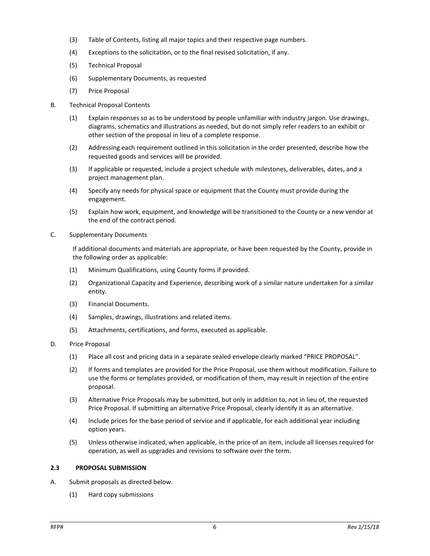- (3) Table of Contents, listing all major topics and their respective page numbers.
- (4) Exceptions to the solicitation, or to the final revised solicitation, if any.
- (5) Technical Proposal
- (6) Supplementary Documents, as requested
- (7) Price Proposal
- <span id="page-6-0"></span>B. Technical Proposal Contents
	- (1) Explain responses so as to be understood by people unfamiliar with industry jargon. Use drawings, diagrams, schematics and illustrations as needed, but do not simply refer readers to an exhibit or other section of the proposal in lieu of a complete response.
	- (2) Addressing each requirement outlined in this solicitation in the order presented, describe how the requested goods and services will be provided.
	- (3) If applicable or requested, include a project schedule with milestones, deliverables, dates, and a project management plan.
	- (4) Specify any needs for physical space or equipment that the County must provide during the engagement.
	- (5) Explain how work, equipment, and knowledge will be transitioned to the County or a new vendor at the end of the contract period.
- <span id="page-6-1"></span>C. Supplementary Documents

If additional documents and materials are appropriate, or have been requested by the County, provide in the following order as applicable:

- (1) Minimum Qualifications, using County forms if provided.
- (2) Organizational Capacity and Experience, describing work of a similar nature undertaken for a similar entity.
- (3) Financial Documents.
- (4) Samples, drawings, illustrations and related items.
- (5) Attachments, certifications, and forms, executed as applicable.
- <span id="page-6-2"></span>D. Price Proposal
	- (1) Place all cost and pricing data in a separate sealed envelope clearly marked "PRICE PROPOSAL".
	- (2) If forms and templates are provided for the Price Proposal, use them without modification. Failure to use the forms or templates provided, or modification of them, may result in rejection of the entire proposal.
	- (3) Alternative Price Proposals may be submitted, but only in addition to, not in lieu of, the requested Price Proposal. If submitting an alternative Price Proposal, clearly identify it as an alternative.
	- (4) Include prices for the base period of service and if applicable, for each additional year including option years.
	- (5) Unless otherwise indicated, when applicable, in the price of an item, include all licenses required for operation, as well as upgrades and revisions to software over the term.

#### <span id="page-6-3"></span>**2.3 PROPOSAL SUBMISSION**

- <span id="page-6-4"></span>A. Submit proposals as directed below.
	- (1) Hard copy submissions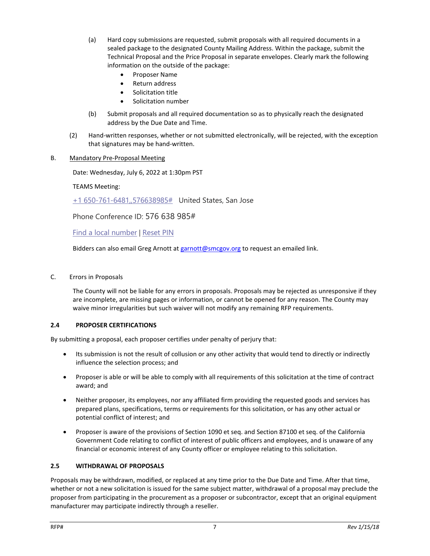- (a) Hard copy submissions are requested, submit proposals with all required documents in a sealed package to the designated County Mailing Address. Within the package, submit the Technical Proposal and the Price Proposal in separate envelopes. Clearly mark the following information on the outside of the package:
	- Proposer Name
	- Return address
	- Solicitation title
	- Solicitation number
- (b) Submit proposals and all required documentation so as to physically reach the designated address by the Due Date and Time.
- (2) Hand-written responses, whether or not submitted electronically, will be rejected, with the exception that signatures may be hand-written.
- B. Mandatory Pre-Proposal Meeting

Date: Wednesday, July 6, 2022 at 1:30pm PST

TEAMS Meeting:

[+1 650-761-6481,,576638985#](tel:+16507616481,,576638985#%20) United States, San Jose

Phone Conference ID: 576 638 985#

Find [a local number](https://dialin.teams.microsoft.com/6b80dd87-9ff2-4eaf-ad61-2cce79f8bd44?id=576638985) | [Reset PIN](https://dialin.teams.microsoft.com/usp/pstnconferencing)

Bidders can also email Greg Arnott at [garnott@smcgov.org](mailto:garnott@smcgov.org) to request an emailed link.

#### <span id="page-7-0"></span>C. Errors in Proposals

The County will not be liable for any errors in proposals. Proposals may be rejected as unresponsive if they are incomplete, are missing pages or information, or cannot be opened for any reason. The County may waive minor irregularities but such waiver will not modify any remaining RFP requirements.

#### <span id="page-7-1"></span>**2.4 PROPOSER CERTIFICATIONS**

By submitting a proposal, each proposer certifies under penalty of perjury that:

- Its submission is not the result of collusion or any other activity that would tend to directly or indirectly influence the selection process; and
- Proposer is able or will be able to comply with all requirements of this solicitation at the time of contract award; and
- Neither proposer, its employees, nor any affiliated firm providing the requested goods and services has prepared plans, specifications, terms or requirements for this solicitation, or has any other actual or potential conflict of interest; and
- Proposer is aware of the provisions of Section 1090 et seq. and Section 87100 et seq. of the California Government Code relating to conflict of interest of public officers and employees, and is unaware of any financial or economic interest of any County officer or employee relating to this solicitation.

#### <span id="page-7-2"></span>**2.5 WITHDRAWAL OF PROPOSALS**

Proposals may be withdrawn, modified, or replaced at any time prior to the Due Date and Time. After that time, whether or not a new solicitation is issued for the same subject matter, withdrawal of a proposal may preclude the proposer from participating in the procurement as a proposer or subcontractor, except that an original equipment manufacturer may participate indirectly through a reseller.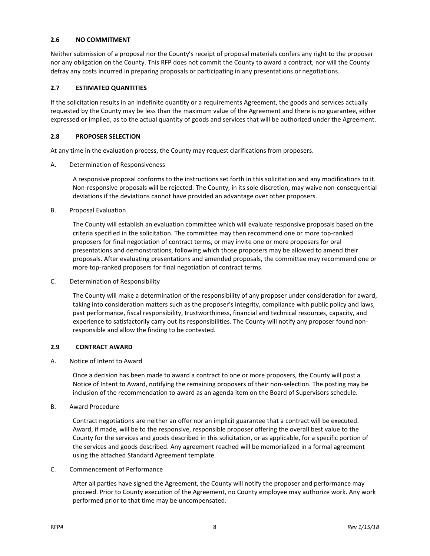#### <span id="page-8-0"></span>**2.6 NO COMMITMENT**

Neither submission of a proposal nor the County's receipt of proposal materials confers any right to the proposer nor any obligation on the County. This RFP does not commit the County to award a contract, nor will the County defray any costs incurred in preparing proposals or participating in any presentations or negotiations.

#### <span id="page-8-1"></span>**2.7 ESTIMATED QUANTITIES**

If the solicitation results in an indefinite quantity or a requirements Agreement, the goods and services actually requested by the County may be less than the maximum value of the Agreement and there is no guarantee, either expressed or implied, as to the actual quantity of goods and services that will be authorized under the Agreement.

#### <span id="page-8-2"></span>**2.8 PROPOSER SELECTION**

At any time in the evaluation process, the County may request clarifications from proposers.

<span id="page-8-3"></span>A. Determination of Responsiveness

A responsive proposal conforms to the instructions set forth in this solicitation and any modifications to it. Non-responsive proposals will be rejected. The County, in its sole discretion, may waive non-consequential deviations if the deviations cannot have provided an advantage over other proposers.

<span id="page-8-4"></span>B. Proposal Evaluation

The County will establish an evaluation committee which will evaluate responsive proposals based on the criteria specified in the solicitation. The committee may then recommend one or more top-ranked proposers for final negotiation of contract terms, or may invite one or more proposers for oral presentations and demonstrations, following which those proposers may be allowed to amend their proposals. After evaluating presentations and amended proposals, the committee may recommend one or more top-ranked proposers for final negotiation of contract terms.

<span id="page-8-5"></span>C. Determination of Responsibility

The County will make a determination of the responsibility of any proposer under consideration for award, taking into consideration matters such as the proposer's integrity, compliance with public policy and laws, past performance, fiscal responsibility, trustworthiness, financial and technical resources, capacity, and experience to satisfactorily carry out its responsibilities. The County will notify any proposer found nonresponsible and allow the finding to be contested.

#### <span id="page-8-6"></span>**2.9 CONTRACT AWARD**

<span id="page-8-7"></span>A. Notice of Intent to Award

Once a decision has been made to award a contract to one or more proposers, the County will post a Notice of Intent to Award, notifying the remaining proposers of their non-selection. The posting may be inclusion of the recommendation to award as an agenda item on the Board of Supervisors schedule.

<span id="page-8-8"></span>B. Award Procedure

Contract negotiations are neither an offer nor an implicit guarantee that a contract will be executed. Award, if made, will be to the responsive, responsible proposer offering the overall best value to the County for the services and goods described in this solicitation, or as applicable, for a specific portion of the services and goods described. Any agreement reached will be memorialized in a formal agreement using the attached Standard Agreement template.

<span id="page-8-9"></span>C. Commencement of Performance

After all parties have signed the Agreement, the County will notify the proposer and performance may proceed. Prior to County execution of the Agreement, no County employee may authorize work. Any work performed prior to that time may be uncompensated.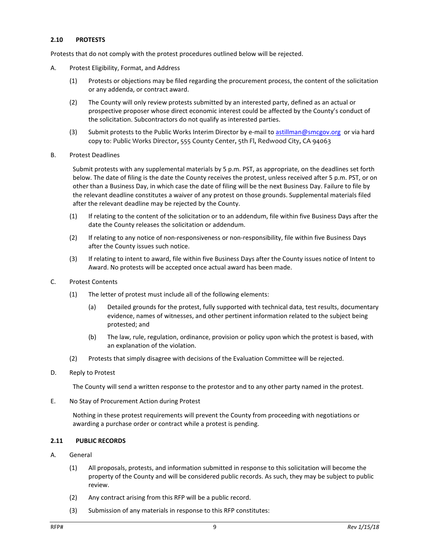#### <span id="page-9-0"></span>**2.10 PROTESTS**

Protests that do not comply with the protest procedures outlined below will be rejected.

- <span id="page-9-1"></span>A. Protest Eligibility, Format, and Address
	- (1) Protests or objections may be filed regarding the procurement process, the content of the solicitation or any addenda, or contract award.
	- (2) The County will only review protests submitted by an interested party, defined as an actual or prospective proposer whose direct economic interest could be affected by the County's conduct of the solicitation. Subcontractors do not qualify as interested parties.
	- (3) Submit protests to the Public Works Interim Director by e-mail to [astillman@smcgov.org](mailto:astillman@smcgov.org) or via hard copy to: Public Works Director, 555 County Center, 5th Fl, Redwood City, CA 94063
- <span id="page-9-2"></span>B. Protest Deadlines

Submit protests with any supplemental materials by 5 p.m. PST, as appropriate, on the deadlines set forth below. The date of filing is the date the County receives the protest, unless received after 5 p.m. PST, or on other than a Business Day, in which case the date of filing will be the next Business Day. Failure to file by the relevant deadline constitutes a waiver of any protest on those grounds. Supplemental materials filed after the relevant deadline may be rejected by the County.

- (1) If relating to the content of the solicitation or to an addendum, file within five Business Days after the date the County releases the solicitation or addendum.
- (2) If relating to any notice of non-responsiveness or non-responsibility, file within five Business Days after the County issues such notice.
- (3) If relating to intent to award, file within five Business Days after the County issues notice of Intent to Award. No protests will be accepted once actual award has been made.
- <span id="page-9-3"></span>C. Protest Contents
	- (1) The letter of protest must include all of the following elements:
		- (a) Detailed grounds for the protest, fully supported with technical data, test results, documentary evidence, names of witnesses, and other pertinent information related to the subject being protested; and
		- (b) The law, rule, regulation, ordinance, provision or policy upon which the protest is based, with an explanation of the violation.
	- (2) Protests that simply disagree with decisions of the Evaluation Committee will be rejected.
- <span id="page-9-4"></span>D. Reply to Protest

The County will send a written response to the protestor and to any other party named in the protest.

<span id="page-9-5"></span>E. No Stay of Procurement Action during Protest

Nothing in these protest requirements will prevent the County from proceeding with negotiations or awarding a purchase order or contract while a protest is pending.

#### <span id="page-9-6"></span>**2.11 PUBLIC RECORDS**

- <span id="page-9-7"></span>A. General
	- (1) All proposals, protests, and information submitted in response to this solicitation will become the property of the County and will be considered public records. As such, they may be subject to public review.
	- (2) Any contract arising from this RFP will be a public record.
	- (3) Submission of any materials in response to this RFP constitutes: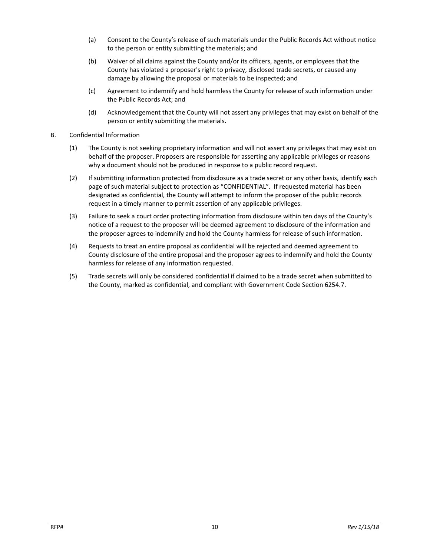- (a) Consent to the County's release of such materials under the Public Records Act without notice to the person or entity submitting the materials; and
- (b) Waiver of all claims against the County and/or its officers, agents, or employees that the County has violated a proposer's right to privacy, disclosed trade secrets, or caused any damage by allowing the proposal or materials to be inspected; and
- (c) Agreement to indemnify and hold harmless the County for release of such information under the Public Records Act; and
- (d) Acknowledgement that the County will not assert any privileges that may exist on behalf of the person or entity submitting the materials.
- <span id="page-10-0"></span>B. Confidential Information
	- (1) The County is not seeking proprietary information and will not assert any privileges that may exist on behalf of the proposer. Proposers are responsible for asserting any applicable privileges or reasons why a document should not be produced in response to a public record request.
	- (2) If submitting information protected from disclosure as a trade secret or any other basis, identify each page of such material subject to protection as "CONFIDENTIAL". If requested material has been designated as confidential, the County will attempt to inform the proposer of the public records request in a timely manner to permit assertion of any applicable privileges.
	- (3) Failure to seek a court order protecting information from disclosure within ten days of the County's notice of a request to the proposer will be deemed agreement to disclosure of the information and the proposer agrees to indemnify and hold the County harmless for release of such information.
	- (4) Requests to treat an entire proposal as confidential will be rejected and deemed agreement to County disclosure of the entire proposal and the proposer agrees to indemnify and hold the County harmless for release of any information requested.
	- (5) Trade secrets will only be considered confidential if claimed to be a trade secret when submitted to the County, marked as confidential, and compliant with Government Code Section 6254.7.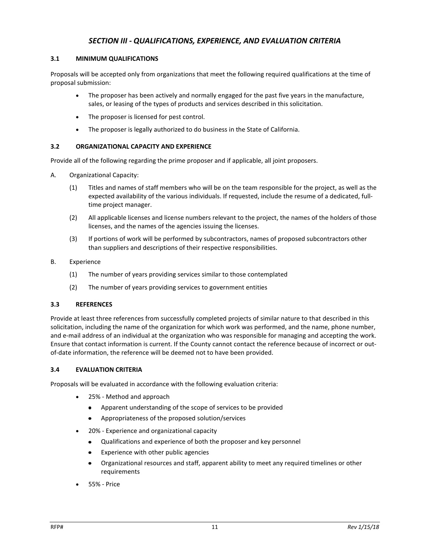#### *SECTION III - QUALIFICATIONS, EXPERIENCE, AND EVALUATION CRITERIA*

#### <span id="page-11-1"></span><span id="page-11-0"></span>**3.1 MINIMUM QUALIFICATIONS**

Proposals will be accepted only from organizations that meet the following required qualifications at the time of proposal submission:

- The proposer has been actively and normally engaged for the past five years in the manufacture, sales, or leasing of the types of products and services described in this solicitation.
- The proposer is licensed for pest control.
- The proposer is legally authorized to do business in the State of California.

#### <span id="page-11-2"></span>**3.2 ORGANIZATIONAL CAPACITY AND EXPERIENCE**

Provide all of the following regarding the prime proposer and if applicable, all joint proposers.

- <span id="page-11-3"></span>A. Organizational Capacity:
	- (1) Titles and names of staff members who will be on the team responsible for the project, as well as the expected availability of the various individuals. If requested, include the resume of a dedicated, fulltime project manager.
	- (2) All applicable licenses and license numbers relevant to the project, the names of the holders of those licenses, and the names of the agencies issuing the licenses.
	- (3) If portions of work will be performed by subcontractors, names of proposed subcontractors other than suppliers and descriptions of their respective responsibilities.
- <span id="page-11-4"></span>B. Experience
	- (1) The number of years providing services similar to those contemplated
	- (2) The number of years providing services to government entities

#### <span id="page-11-5"></span>**3.3 REFERENCES**

Provide at least three references from successfully completed projects of similar nature to that described in this solicitation, including the name of the organization for which work was performed, and the name, phone number, and e-mail address of an individual at the organization who was responsible for managing and accepting the work. Ensure that contact information is current. If the County cannot contact the reference because of incorrect or outof-date information, the reference will be deemed not to have been provided.

#### <span id="page-11-6"></span>**3.4 EVALUATION CRITERIA**

Proposals will be evaluated in accordance with the following evaluation criteria:

- 25% Method and approach
	- Apparent understanding of the scope of services to be provided  $\bullet$
	- Appropriateness of the proposed solution/services  $\bullet$
- 20% Experience and organizational capacity
	- Qualifications and experience of both the proposer and key personnel  $\bullet$
	- Experience with other public agencies
	- $\bullet$ Organizational resources and staff, apparent ability to meet any required timelines or other requirements
- 55% Price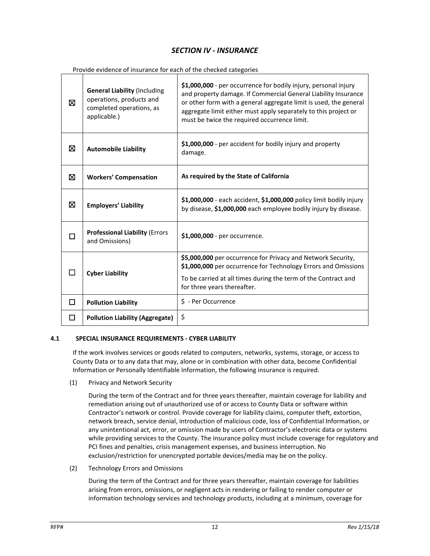### *SECTION IV - INSURANCE*

<span id="page-12-0"></span>Provide evidence of insurance for each of the checked categories

| ⊠ | <b>General Liability (Including</b><br>operations, products and<br>completed operations, as<br>applicable.) | \$1,000,000 - per occurrence for bodily injury, personal injury<br>and property damage. If Commercial General Liability Insurance<br>or other form with a general aggregate limit is used, the general<br>aggregate limit either must apply separately to this project or<br>must be twice the required occurrence limit. |
|---|-------------------------------------------------------------------------------------------------------------|---------------------------------------------------------------------------------------------------------------------------------------------------------------------------------------------------------------------------------------------------------------------------------------------------------------------------|
| ⊠ | <b>Automobile Liability</b>                                                                                 | \$1,000,000 - per accident for bodily injury and property<br>damage.                                                                                                                                                                                                                                                      |
| ⊠ | <b>Workers' Compensation</b>                                                                                | As required by the State of California                                                                                                                                                                                                                                                                                    |
| ⊠ | <b>Employers' Liability</b>                                                                                 | \$1,000,000 - each accident, \$1,000,000 policy limit bodily injury<br>by disease, \$1,000,000 each employee bodily injury by disease.                                                                                                                                                                                    |
|   | <b>Professional Liability (Errors</b><br>and Omissions)                                                     | \$1,000,000 - per occurrence.                                                                                                                                                                                                                                                                                             |
|   | <b>Cyber Liability</b>                                                                                      | \$5,000,000 per occurrence for Privacy and Network Security,<br>\$1,000,000 per occurrence for Technology Errors and Omissions<br>To be carried at all times during the term of the Contract and<br>for three years thereafter.                                                                                           |
| п | <b>Pollution Liability</b>                                                                                  | \$ - Per Occurrence                                                                                                                                                                                                                                                                                                       |
| □ | <b>Pollution Liability (Aggregate)</b>                                                                      | \$                                                                                                                                                                                                                                                                                                                        |

#### <span id="page-12-1"></span>**4.1 SPECIAL INSURANCE REQUIREMENTS - CYBER LIABILITY**

If the work involves services or goods related to computers, networks, systems, storage, or access to County Data or to any data that may, alone or in combination with other data, become Confidential Information or Personally Identifiable Information, the following insurance is required.

(1) Privacy and Network Security

During the term of the Contract and for three years thereafter, maintain coverage for liability and remediation arising out of unauthorized use of or access to County Data or software within Contractor's network or control. Provide coverage for liability claims, computer theft, extortion, network breach, service denial, introduction of malicious code, loss of Confidential Information, or any unintentional act, error, or omission made by users of Contractor's electronic data or systems while providing services to the County. The insurance policy must include coverage for regulatory and PCI fines and penalties, crisis management expenses, and business interruption. No exclusion/restriction for unencrypted portable devices/media may be on the policy.

(2) Technology Errors and Omissions

During the term of the Contract and for three years thereafter, maintain coverage for liabilities arising from errors, omissions, or negligent acts in rendering or failing to render computer or information technology services and technology products, including at a minimum, coverage for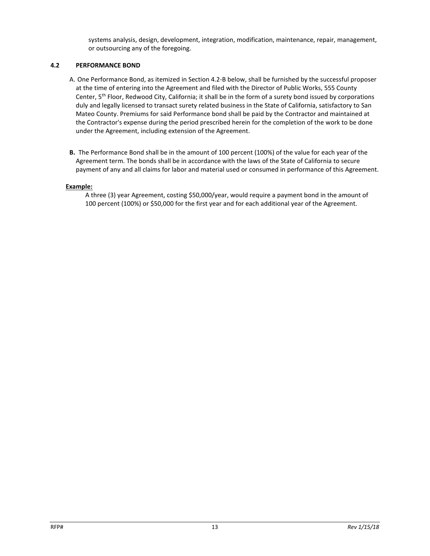systems analysis, design, development, integration, modification, maintenance, repair, management, or outsourcing any of the foregoing.

#### **4.2 PERFORMANCE BOND**

- A. One Performance Bond, as itemized in Section 4.2-B below, shall be furnished by the successful proposer at the time of entering into the Agreement and filed with the Director of Public Works, 555 County Center, 5th Floor, Redwood City, California; it shall be in the form of a surety bond issued by corporations duly and legally licensed to transact surety related business in the State of California, satisfactory to San Mateo County. Premiums for said Performance bond shall be paid by the Contractor and maintained at the Contractor's expense during the period prescribed herein for the completion of the work to be done under the Agreement, including extension of the Agreement.
- **B.** The Performance Bond shall be in the amount of 100 percent (100%) of the value for each year of the Agreement term. The bonds shall be in accordance with the laws of the State of California to secure payment of any and all claims for labor and material used or consumed in performance of this Agreement.

#### **Example:**

A three (3) year Agreement, costing \$50,000/year, would require a payment bond in the amount of 100 percent (100%) or \$50,000 for the first year and for each additional year of the Agreement.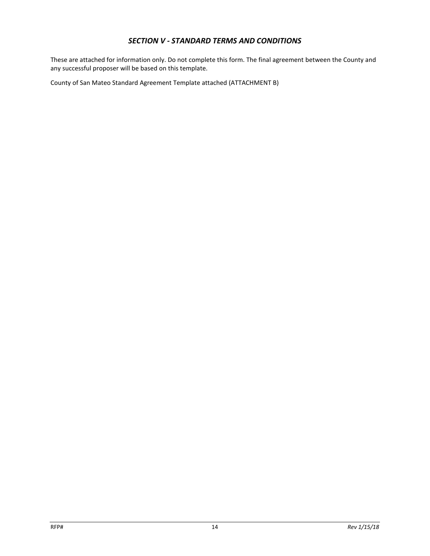#### *SECTION V - STANDARD TERMS AND CONDITIONS*

<span id="page-14-0"></span>These are attached for information only. Do not complete this form. The final agreement between the County and any successful proposer will be based on this template.

County of San Mateo Standard Agreement Template attached (ATTACHMENT B)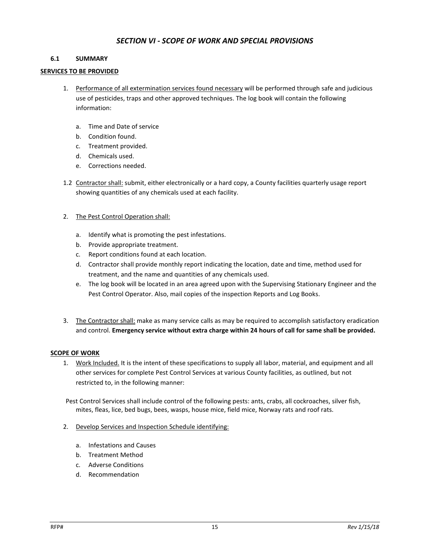#### *SECTION VI - SCOPE OF WORK AND SPECIAL PROVISIONS*

#### <span id="page-15-1"></span><span id="page-15-0"></span>**6.1 SUMMARY**

#### **SERVICES TO BE PROVIDED**

- 1. Performance of all extermination services found necessary will be performed through safe and judicious use of pesticides, traps and other approved techniques. The log book will contain the following information:
	- a. Time and Date of service
	- b. Condition found.
	- c. Treatment provided.
	- d. Chemicals used.
	- e. Corrections needed.
- 1.2 Contractor shall: submit, either electronically or a hard copy, a County facilities quarterly usage report showing quantities of any chemicals used at each facility.
- 2. The Pest Control Operation shall:
	- a. Identify what is promoting the pest infestations.
	- b. Provide appropriate treatment.
	- c. Report conditions found at each location.
	- d. Contractor shall provide monthly report indicating the location, date and time, method used for treatment, and the name and quantities of any chemicals used.
	- e. The log book will be located in an area agreed upon with the Supervising Stationary Engineer and the Pest Control Operator. Also, mail copies of the inspection Reports and Log Books.
- 3. The Contractor shall: make as many service calls as may be required to accomplish satisfactory eradication and control. **Emergency service without extra charge within 24 hours of call for same shall be provided.**

#### **SCOPE OF WORK**

1. Work Included. It is the intent of these specifications to supply all labor, material, and equipment and all other services for complete Pest Control Services at various County facilities, as outlined, but not restricted to, in the following manner:

Pest Control Services shall include control of the following pests: ants, crabs, all cockroaches, silver fish, mites, fleas, lice, bed bugs, bees, wasps, house mice, field mice, Norway rats and roof rats.

- 2. Develop Services and Inspection Schedule identifying:
	- a. Infestations and Causes
	- b. Treatment Method
	- c. Adverse Conditions
	- d. Recommendation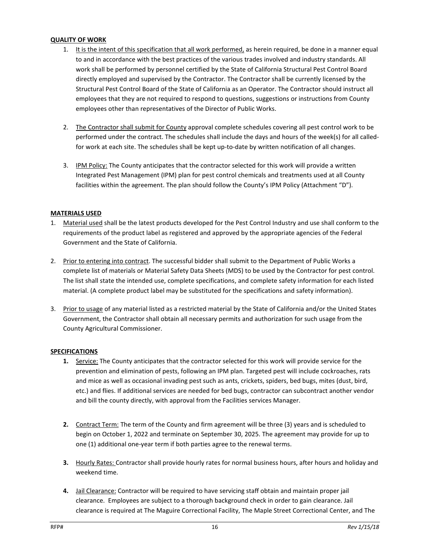#### **QUALITY OF WORK**

- 1. It is the intent of this specification that all work performed, as herein required, be done in a manner equal to and in accordance with the best practices of the various trades involved and industry standards. All work shall be performed by personnel certified by the State of California Structural Pest Control Board directly employed and supervised by the Contractor. The Contractor shall be currently licensed by the Structural Pest Control Board of the State of California as an Operator. The Contractor should instruct all employees that they are not required to respond to questions, suggestions or instructions from County employees other than representatives of the Director of Public Works.
- 2. The Contractor shall submit for County approval complete schedules covering all pest control work to be performed under the contract. The schedules shall include the days and hours of the week(s) for all calledfor work at each site. The schedules shall be kept up-to-date by written notification of all changes.
- 3. IPM Policy: The County anticipates that the contractor selected for this work will provide a written Integrated Pest Management (IPM) plan for pest control chemicals and treatments used at all County facilities within the agreement. The plan should follow the County's IPM Policy (Attachment "D").

#### **MATERIALS USED**

- 1. Material used shall be the latest products developed for the Pest Control Industry and use shall conform to the requirements of the product label as registered and approved by the appropriate agencies of the Federal Government and the State of California.
- 2. Prior to entering into contract. The successful bidder shall submit to the Department of Public Works a complete list of materials or Material Safety Data Sheets (MDS) to be used by the Contractor for pest control. The list shall state the intended use, complete specifications, and complete safety information for each listed material. (A complete product label may be substituted for the specifications and safety information).
- 3. Prior to usage of any material listed as a restricted material by the State of California and/or the United States Government, the Contractor shall obtain all necessary permits and authorization for such usage from the County Agricultural Commissioner.

#### **SPECIFICATIONS**

- **1.** Service: The County anticipates that the contractor selected for this work will provide service for the prevention and elimination of pests, following an IPM plan. Targeted pest will include cockroaches, rats and mice as well as occasional invading pest such as ants, crickets, spiders, bed bugs, mites (dust, bird, etc.) and flies. If additional services are needed for bed bugs, contractor can subcontract another vendor and bill the county directly, with approval from the Facilities services Manager.
- **2.** Contract Term: The term of the County and firm agreement will be three (3) years and is scheduled to begin on October 1, 2022 and terminate on September 30, 2025. The agreement may provide for up to one (1) additional one-year term if both parties agree to the renewal terms.
- **3.** Hourly Rates: Contractor shall provide hourly rates for normal business hours, after hours and holiday and weekend time.
- **4.** Jail Clearance: Contractor will be required to have servicing staff obtain and maintain proper jail clearance. Employees are subject to a thorough background check in order to gain clearance. Jail clearance is required at The Maguire Correctional Facility, The Maple Street Correctional Center, and The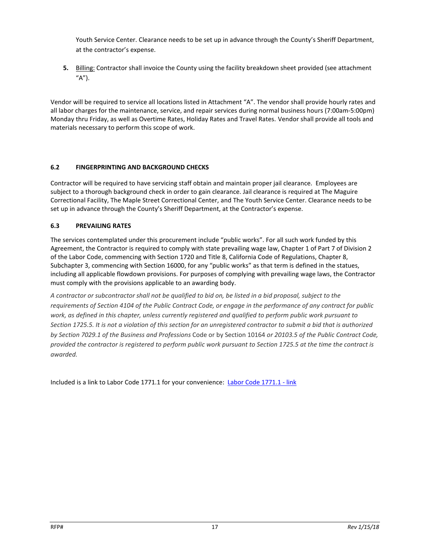Youth Service Center. Clearance needs to be set up in advance through the County's Sheriff Department, at the contractor's expense.

**5.** Billing: Contractor shall invoice the County using the facility breakdown sheet provided (see attachment  $''A'$ ).

Vendor will be required to service all locations listed in Attachment "A". The vendor shall provide hourly rates and all labor charges for the maintenance, service, and repair services during normal business hours (7:00am-5:00pm) Monday thru Friday, as well as Overtime Rates, Holiday Rates and Travel Rates. Vendor shall provide all tools and materials necessary to perform this scope of work.

#### **6.2 FINGERPRINTING AND BACKGROUND CHECKS**

Contractor will be required to have servicing staff obtain and maintain proper jail clearance. Employees are subject to a thorough background check in order to gain clearance. Jail clearance is required at The Maguire Correctional Facility, The Maple Street Correctional Center, and The Youth Service Center. Clearance needs to be set up in advance through the County's Sheriff Department, at the Contractor's expense.

#### **6.3 PREVAILING RATES**

The services contemplated under this procurement include "public works". For all such work funded by this Agreement, the Contractor is required to comply with state prevailing wage law, Chapter 1 of Part 7 of Division 2 of the Labor Code, commencing with Section 1720 and Title 8, California Code of Regulations, Chapter 8, Subchapter 3, commencing with Section 16000, for any "public works" as that term is defined in the statues, including all applicable flowdown provisions. For purposes of complying with prevailing wage laws, the Contractor must comply with the provisions applicable to an awarding body.

*A contractor or subcontractor shall not be qualified to bid on, be listed in a bid proposal, subject to the requirements of Section 4104 of the Public Contract Code, or engage in the performance of any contract for public work, as defined in this chapter, unless currently registered and qualified to perform public work pursuant to Section 1725.5. It is not a violation of this section for an unregistered contractor to submit a bid that is authorized by Section 7029.1 of the Business and Professions* Code or by Section 10164 *or 20103.5 of the Public Contract Code, provided the contractor is registered to perform public work pursuant to Section 1725.5 at the time the contract is awarded.*

Included is a link to Labor Code 1771.1 for your convenience: [Labor Code 1771.1 -](http://leginfo.legislature.ca.gov/faces/codes_displaySection.xhtml?lawCode=LAB§ionNum=1771.1.%20) link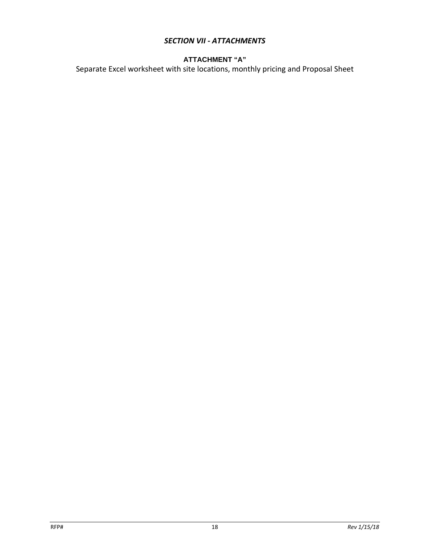### *SECTION VII - ATTACHMENTS*

### **ATTACHMENT "A"**

Separate Excel worksheet with site locations, monthly pricing and Proposal Sheet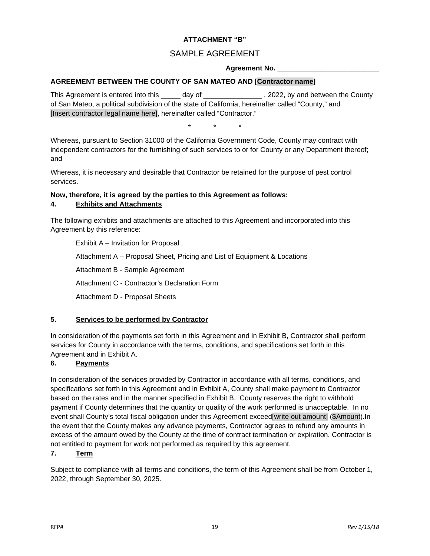#### **ATTACHMENT "B"**

### SAMPLE AGREEMENT

#### **Agreement No. \_\_\_\_\_\_\_\_\_\_\_\_\_\_\_\_\_\_\_\_\_\_\_\_\_\_**

#### **AGREEMENT BETWEEN THE COUNTY OF SAN MATEO AND [Contractor name]**

This Agreement is entered into this day of the state of the County of the County of the County of San Mateo, a political subdivision of the state of California, hereinafter called "County," and [Insert contractor legal name here], hereinafter called "Contractor."

\* \* \*

Whereas, pursuant to Section 31000 of the California Government Code, County may contract with independent contractors for the furnishing of such services to or for County or any Department thereof; and

Whereas, it is necessary and desirable that Contractor be retained for the purpose of pest control services.

#### **Now, therefore, it is agreed by the parties to this Agreement as follows: 4. Exhibits and Attachments**

The following exhibits and attachments are attached to this Agreement and incorporated into this Agreement by this reference:

Exhibit A – Invitation for Proposal Attachment A – Proposal Sheet, Pricing and List of Equipment & Locations Attachment B - Sample Agreement Attachment C - Contractor's Declaration Form Attachment D - Proposal Sheets

#### **5. Services to be performed by Contractor**

In consideration of the payments set forth in this Agreement and in Exhibit B, Contractor shall perform services for County in accordance with the terms, conditions, and specifications set forth in this Agreement and in Exhibit A.

### **6. Payments**

In consideration of the services provided by Contractor in accordance with all terms, conditions, and specifications set forth in this Agreement and in Exhibit A, County shall make payment to Contractor based on the rates and in the manner specified in Exhibit B. County reserves the right to withhold payment if County determines that the quantity or quality of the work performed is unacceptable. In no event shall County's total fiscal obligation under this Agreement exceed[write out amount] (\$Amount).In the event that the County makes any advance payments, Contractor agrees to refund any amounts in excess of the amount owed by the County at the time of contract termination or expiration. Contractor is not entitled to payment for work not performed as required by this agreement.

#### **7. Term**

Subject to compliance with all terms and conditions, the term of this Agreement shall be from October 1, 2022, through September 30, 2025.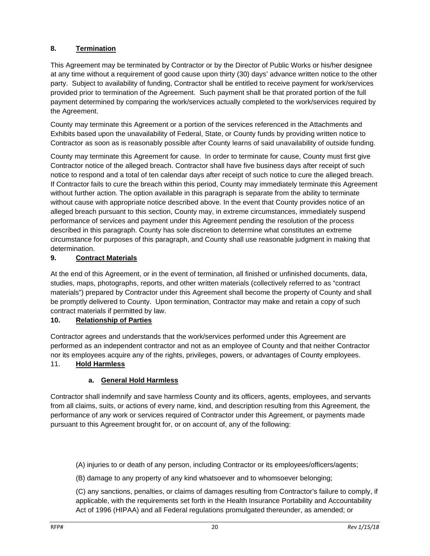### **8. Termination**

This Agreement may be terminated by Contractor or by the Director of Public Works or his/her designee at any time without a requirement of good cause upon thirty (30) days' advance written notice to the other party. Subject to availability of funding, Contractor shall be entitled to receive payment for work/services provided prior to termination of the Agreement. Such payment shall be that prorated portion of the full payment determined by comparing the work/services actually completed to the work/services required by the Agreement.

County may terminate this Agreement or a portion of the services referenced in the Attachments and Exhibits based upon the unavailability of Federal, State, or County funds by providing written notice to Contractor as soon as is reasonably possible after County learns of said unavailability of outside funding.

County may terminate this Agreement for cause. In order to terminate for cause, County must first give Contractor notice of the alleged breach. Contractor shall have five business days after receipt of such notice to respond and a total of ten calendar days after receipt of such notice to cure the alleged breach. If Contractor fails to cure the breach within this period, County may immediately terminate this Agreement without further action. The option available in this paragraph is separate from the ability to terminate without cause with appropriate notice described above. In the event that County provides notice of an alleged breach pursuant to this section, County may, in extreme circumstances, immediately suspend performance of services and payment under this Agreement pending the resolution of the process described in this paragraph. County has sole discretion to determine what constitutes an extreme circumstance for purposes of this paragraph, and County shall use reasonable judgment in making that determination.

### **9. Contract Materials**

At the end of this Agreement, or in the event of termination, all finished or unfinished documents, data, studies, maps, photographs, reports, and other written materials (collectively referred to as "contract materials") prepared by Contractor under this Agreement shall become the property of County and shall be promptly delivered to County. Upon termination, Contractor may make and retain a copy of such contract materials if permitted by law.

### **10. Relationship of Parties**

Contractor agrees and understands that the work/services performed under this Agreement are performed as an independent contractor and not as an employee of County and that neither Contractor nor its employees acquire any of the rights, privileges, powers, or advantages of County employees. 11. **Hold Harmless**

### **a. General Hold Harmless**

Contractor shall indemnify and save harmless County and its officers, agents, employees, and servants from all claims, suits, or actions of every name, kind, and description resulting from this Agreement, the performance of any work or services required of Contractor under this Agreement, or payments made pursuant to this Agreement brought for, or on account of, any of the following:

(A) injuries to or death of any person, including Contractor or its employees/officers/agents;

(B) damage to any property of any kind whatsoever and to whomsoever belonging;

(C) any sanctions, penalties, or claims of damages resulting from Contractor's failure to comply, if applicable, with the requirements set forth in the Health Insurance Portability and Accountability Act of 1996 (HIPAA) and all Federal regulations promulgated thereunder, as amended; or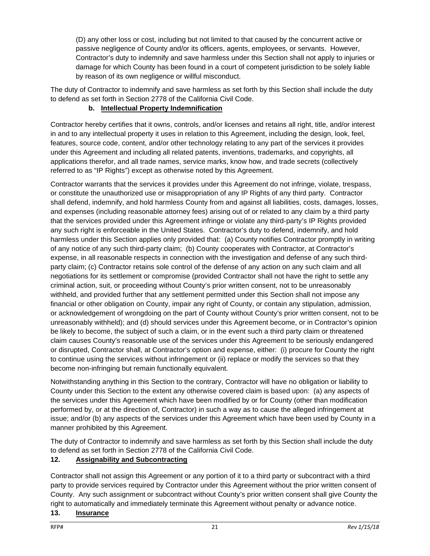(D) any other loss or cost, including but not limited to that caused by the concurrent active or passive negligence of County and/or its officers, agents, employees, or servants. However, Contractor's duty to indemnify and save harmless under this Section shall not apply to injuries or damage for which County has been found in a court of competent jurisdiction to be solely liable by reason of its own negligence or willful misconduct.

The duty of Contractor to indemnify and save harmless as set forth by this Section shall include the duty to defend as set forth in Section 2778 of the California Civil Code.

### **b. Intellectual Property Indemnification**

Contractor hereby certifies that it owns, controls, and/or licenses and retains all right, title, and/or interest in and to any intellectual property it uses in relation to this Agreement, including the design, look, feel, features, source code, content, and/or other technology relating to any part of the services it provides under this Agreement and including all related patents, inventions, trademarks, and copyrights, all applications therefor, and all trade names, service marks, know how, and trade secrets (collectively referred to as "IP Rights") except as otherwise noted by this Agreement.

Contractor warrants that the services it provides under this Agreement do not infringe, violate, trespass, or constitute the unauthorized use or misappropriation of any IP Rights of any third party. Contractor shall defend, indemnify, and hold harmless County from and against all liabilities, costs, damages, losses, and expenses (including reasonable attorney fees) arising out of or related to any claim by a third party that the services provided under this Agreement infringe or violate any third-party's IP Rights provided any such right is enforceable in the United States. Contractor's duty to defend, indemnify, and hold harmless under this Section applies only provided that: (a) County notifies Contractor promptly in writing of any notice of any such third-party claim; (b) County cooperates with Contractor, at Contractor's expense, in all reasonable respects in connection with the investigation and defense of any such thirdparty claim; (c) Contractor retains sole control of the defense of any action on any such claim and all negotiations for its settlement or compromise (provided Contractor shall not have the right to settle any criminal action, suit, or proceeding without County's prior written consent, not to be unreasonably withheld, and provided further that any settlement permitted under this Section shall not impose any financial or other obligation on County, impair any right of County, or contain any stipulation, admission, or acknowledgement of wrongdoing on the part of County without County's prior written consent, not to be unreasonably withheld); and (d) should services under this Agreement become, or in Contractor's opinion be likely to become, the subject of such a claim, or in the event such a third party claim or threatened claim causes County's reasonable use of the services under this Agreement to be seriously endangered or disrupted, Contractor shall, at Contractor's option and expense, either: (i) procure for County the right to continue using the services without infringement or (ii) replace or modify the services so that they become non-infringing but remain functionally equivalent.

Notwithstanding anything in this Section to the contrary, Contractor will have no obligation or liability to County under this Section to the extent any otherwise covered claim is based upon: (a) any aspects of the services under this Agreement which have been modified by or for County (other than modification performed by, or at the direction of, Contractor) in such a way as to cause the alleged infringement at issue; and/or (b) any aspects of the services under this Agreement which have been used by County in a manner prohibited by this Agreement.

The duty of Contractor to indemnify and save harmless as set forth by this Section shall include the duty to defend as set forth in Section 2778 of the California Civil Code.

### **12. Assignability and Subcontracting**

Contractor shall not assign this Agreement or any portion of it to a third party or subcontract with a third party to provide services required by Contractor under this Agreement without the prior written consent of County. Any such assignment or subcontract without County's prior written consent shall give County the right to automatically and immediately terminate this Agreement without penalty or advance notice.

### **13. Insurance**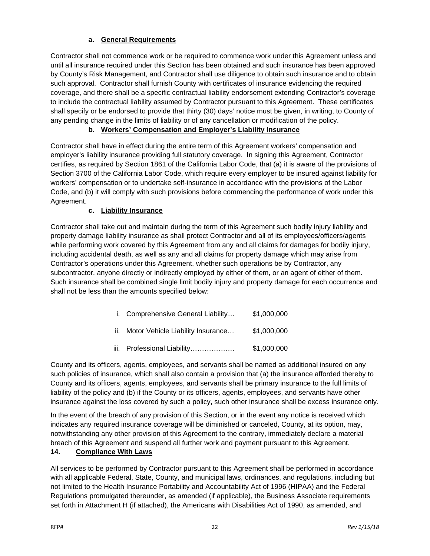### **a. General Requirements**

Contractor shall not commence work or be required to commence work under this Agreement unless and until all insurance required under this Section has been obtained and such insurance has been approved by County's Risk Management, and Contractor shall use diligence to obtain such insurance and to obtain such approval. Contractor shall furnish County with certificates of insurance evidencing the required coverage, and there shall be a specific contractual liability endorsement extending Contractor's coverage to include the contractual liability assumed by Contractor pursuant to this Agreement. These certificates shall specify or be endorsed to provide that thirty (30) days' notice must be given, in writing, to County of any pending change in the limits of liability or of any cancellation or modification of the policy.

### **b. Workers' Compensation and Employer's Liability Insurance**

Contractor shall have in effect during the entire term of this Agreement workers' compensation and employer's liability insurance providing full statutory coverage. In signing this Agreement, Contractor certifies, as required by Section 1861 of the California Labor Code, that (a) it is aware of the provisions of Section 3700 of the California Labor Code, which require every employer to be insured against liability for workers' compensation or to undertake self-insurance in accordance with the provisions of the Labor Code, and (b) it will comply with such provisions before commencing the performance of work under this Agreement.

### **c. Liability Insurance**

Contractor shall take out and maintain during the term of this Agreement such bodily injury liability and property damage liability insurance as shall protect Contractor and all of its employees/officers/agents while performing work covered by this Agreement from any and all claims for damages for bodily injury, including accidental death, as well as any and all claims for property damage which may arise from Contractor's operations under this Agreement, whether such operations be by Contractor, any subcontractor, anyone directly or indirectly employed by either of them, or an agent of either of them. Such insurance shall be combined single limit bodily injury and property damage for each occurrence and shall not be less than the amounts specified below:

| i. Comprehensive General Liability    | \$1,000,000 |
|---------------------------------------|-------------|
| ii. Motor Vehicle Liability Insurance | \$1,000,000 |
| iii. Professional Liability           | \$1,000,000 |

County and its officers, agents, employees, and servants shall be named as additional insured on any such policies of insurance, which shall also contain a provision that (a) the insurance afforded thereby to County and its officers, agents, employees, and servants shall be primary insurance to the full limits of liability of the policy and (b) if the County or its officers, agents, employees, and servants have other insurance against the loss covered by such a policy, such other insurance shall be excess insurance only.

In the event of the breach of any provision of this Section, or in the event any notice is received which indicates any required insurance coverage will be diminished or canceled, County, at its option, may, notwithstanding any other provision of this Agreement to the contrary, immediately declare a material breach of this Agreement and suspend all further work and payment pursuant to this Agreement.

### **14. Compliance With Laws**

All services to be performed by Contractor pursuant to this Agreement shall be performed in accordance with all applicable Federal, State, County, and municipal laws, ordinances, and regulations, including but not limited to the Health Insurance Portability and Accountability Act of 1996 (HIPAA) and the Federal Regulations promulgated thereunder, as amended (if applicable), the Business Associate requirements set forth in Attachment H (if attached), the Americans with Disabilities Act of 1990, as amended, and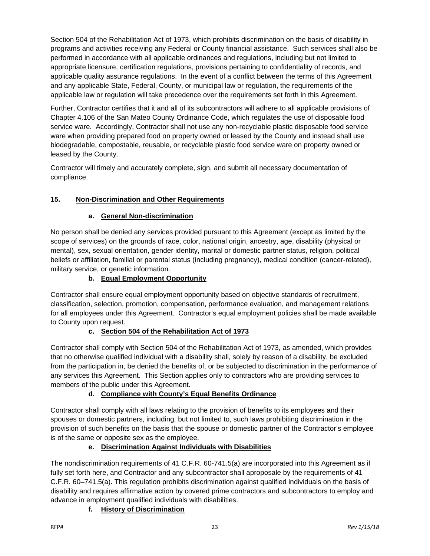Section 504 of the Rehabilitation Act of 1973, which prohibits discrimination on the basis of disability in programs and activities receiving any Federal or County financial assistance. Such services shall also be performed in accordance with all applicable ordinances and regulations, including but not limited to appropriate licensure, certification regulations, provisions pertaining to confidentiality of records, and applicable quality assurance regulations. In the event of a conflict between the terms of this Agreement and any applicable State, Federal, County, or municipal law or regulation, the requirements of the applicable law or regulation will take precedence over the requirements set forth in this Agreement.

Further, Contractor certifies that it and all of its subcontractors will adhere to all applicable provisions of Chapter 4.106 of the San Mateo County Ordinance Code, which regulates the use of disposable food service ware. Accordingly, Contractor shall not use any non-recyclable plastic disposable food service ware when providing prepared food on property owned or leased by the County and instead shall use biodegradable, compostable, reusable, or recyclable plastic food service ware on property owned or leased by the County.

Contractor will timely and accurately complete, sign, and submit all necessary documentation of compliance.

### **15. Non-Discrimination and Other Requirements**

### **a. General Non-discrimination**

No person shall be denied any services provided pursuant to this Agreement (except as limited by the scope of services) on the grounds of race, color, national origin, ancestry, age, disability (physical or mental), sex, sexual orientation, gender identity, marital or domestic partner status, religion, political beliefs or affiliation, familial or parental status (including pregnancy), medical condition (cancer-related), military service, or genetic information.

### **b. Equal Employment Opportunity**

Contractor shall ensure equal employment opportunity based on objective standards of recruitment, classification, selection, promotion, compensation, performance evaluation, and management relations for all employees under this Agreement. Contractor's equal employment policies shall be made available to County upon request.

### **c. Section 504 of the Rehabilitation Act of 1973**

Contractor shall comply with Section 504 of the Rehabilitation Act of 1973, as amended, which provides that no otherwise qualified individual with a disability shall, solely by reason of a disability, be excluded from the participation in, be denied the benefits of, or be subjected to discrimination in the performance of any services this Agreement. This Section applies only to contractors who are providing services to members of the public under this Agreement.

### **d. Compliance with County's Equal Benefits Ordinance**

Contractor shall comply with all laws relating to the provision of benefits to its employees and their spouses or domestic partners, including, but not limited to, such laws prohibiting discrimination in the provision of such benefits on the basis that the spouse or domestic partner of the Contractor's employee is of the same or opposite sex as the employee.

### **e. Discrimination Against Individuals with Disabilities**

The nondiscrimination requirements of 41 C.F.R. 60-741.5(a) are incorporated into this Agreement as if fully set forth here, and Contractor and any subcontractor shall aproposale by the requirements of 41 C.F.R. 60–741.5(a). This regulation prohibits discrimination against qualified individuals on the basis of disability and requires affirmative action by covered prime contractors and subcontractors to employ and advance in employment qualified individuals with disabilities.

### **f. History of Discrimination**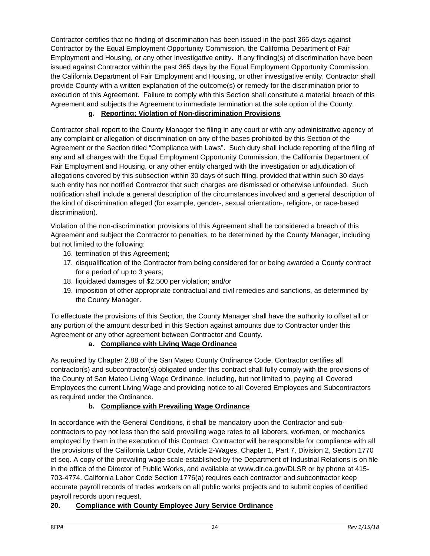Contractor certifies that no finding of discrimination has been issued in the past 365 days against Contractor by the Equal Employment Opportunity Commission, the California Department of Fair Employment and Housing, or any other investigative entity. If any finding(s) of discrimination have been issued against Contractor within the past 365 days by the Equal Employment Opportunity Commission, the California Department of Fair Employment and Housing, or other investigative entity, Contractor shall provide County with a written explanation of the outcome(s) or remedy for the discrimination prior to execution of this Agreement. Failure to comply with this Section shall constitute a material breach of this Agreement and subjects the Agreement to immediate termination at the sole option of the County.

#### **g. Reporting; Violation of Non-discrimination Provisions**

Contractor shall report to the County Manager the filing in any court or with any administrative agency of any complaint or allegation of discrimination on any of the bases prohibited by this Section of the Agreement or the Section titled "Compliance with Laws". Such duty shall include reporting of the filing of any and all charges with the Equal Employment Opportunity Commission, the California Department of Fair Employment and Housing, or any other entity charged with the investigation or adjudication of allegations covered by this subsection within 30 days of such filing, provided that within such 30 days such entity has not notified Contractor that such charges are dismissed or otherwise unfounded. Such notification shall include a general description of the circumstances involved and a general description of the kind of discrimination alleged (for example, gender-, sexual orientation-, religion-, or race-based discrimination).

Violation of the non-discrimination provisions of this Agreement shall be considered a breach of this Agreement and subject the Contractor to penalties, to be determined by the County Manager, including but not limited to the following:

- 16. termination of this Agreement;
- 17. disqualification of the Contractor from being considered for or being awarded a County contract for a period of up to 3 years;
- 18. liquidated damages of \$2,500 per violation; and/or
- 19. imposition of other appropriate contractual and civil remedies and sanctions, as determined by the County Manager.

To effectuate the provisions of this Section, the County Manager shall have the authority to offset all or any portion of the amount described in this Section against amounts due to Contractor under this Agreement or any other agreement between Contractor and County.

#### **a. Compliance with Living Wage Ordinance**

As required by Chapter 2.88 of the San Mateo County Ordinance Code, Contractor certifies all contractor(s) and subcontractor(s) obligated under this contract shall fully comply with the provisions of the County of San Mateo Living Wage Ordinance, including, but not limited to, paying all Covered Employees the current Living Wage and providing notice to all Covered Employees and Subcontractors as required under the Ordinance.

#### **b. Compliance with Prevailing Wage Ordinance**

In accordance with the General Conditions, it shall be mandatory upon the Contractor and subcontractors to pay not less than the said prevailing wage rates to all laborers, workmen, or mechanics employed by them in the execution of this Contract. Contractor will be responsible for compliance with all the provisions of the California Labor Code, Article 2-Wages, Chapter 1, Part 7, Division 2, Section 1770 et seq. A copy of the prevailing wage scale established by the Department of Industrial Relations is on file in the office of the Director of Public Works, and available at www.dir.ca.gov/DLSR or by phone at 415- 703-4774. California Labor Code Section 1776(a) requires each contractor and subcontractor keep accurate payroll records of trades workers on all public works projects and to submit copies of certified payroll records upon request.

### **20. Compliance with County Employee Jury Service Ordinance**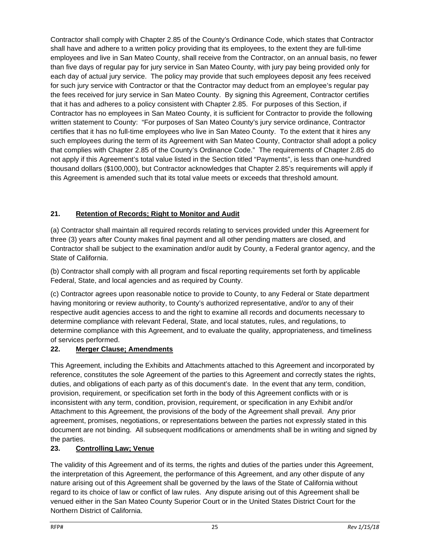Contractor shall comply with Chapter 2.85 of the County's Ordinance Code, which states that Contractor shall have and adhere to a written policy providing that its employees, to the extent they are full-time employees and live in San Mateo County, shall receive from the Contractor, on an annual basis, no fewer than five days of regular pay for jury service in San Mateo County, with jury pay being provided only for each day of actual jury service. The policy may provide that such employees deposit any fees received for such jury service with Contractor or that the Contractor may deduct from an employee's regular pay the fees received for jury service in San Mateo County. By signing this Agreement, Contractor certifies that it has and adheres to a policy consistent with Chapter 2.85. For purposes of this Section, if Contractor has no employees in San Mateo County, it is sufficient for Contractor to provide the following written statement to County: "For purposes of San Mateo County's jury service ordinance, Contractor certifies that it has no full-time employees who live in San Mateo County. To the extent that it hires any such employees during the term of its Agreement with San Mateo County, Contractor shall adopt a policy that complies with Chapter 2.85 of the County's Ordinance Code." The requirements of Chapter 2.85 do not apply if this Agreement's total value listed in the Section titled "Payments", is less than one-hundred thousand dollars (\$100,000), but Contractor acknowledges that Chapter 2.85's requirements will apply if this Agreement is amended such that its total value meets or exceeds that threshold amount.

### **21. Retention of Records; Right to Monitor and Audit**

(a) Contractor shall maintain all required records relating to services provided under this Agreement for three (3) years after County makes final payment and all other pending matters are closed, and Contractor shall be subject to the examination and/or audit by County, a Federal grantor agency, and the State of California.

(b) Contractor shall comply with all program and fiscal reporting requirements set forth by applicable Federal, State, and local agencies and as required by County.

(c) Contractor agrees upon reasonable notice to provide to County, to any Federal or State department having monitoring or review authority, to County's authorized representative, and/or to any of their respective audit agencies access to and the right to examine all records and documents necessary to determine compliance with relevant Federal, State, and local statutes, rules, and regulations, to determine compliance with this Agreement, and to evaluate the quality, appropriateness, and timeliness of services performed.

### **22. Merger Clause; Amendments**

This Agreement, including the Exhibits and Attachments attached to this Agreement and incorporated by reference, constitutes the sole Agreement of the parties to this Agreement and correctly states the rights, duties, and obligations of each party as of this document's date. In the event that any term, condition, provision, requirement, or specification set forth in the body of this Agreement conflicts with or is inconsistent with any term, condition, provision, requirement, or specification in any Exhibit and/or Attachment to this Agreement, the provisions of the body of the Agreement shall prevail. Any prior agreement, promises, negotiations, or representations between the parties not expressly stated in this document are not binding. All subsequent modifications or amendments shall be in writing and signed by the parties.

### **23. Controlling Law; Venue**

The validity of this Agreement and of its terms, the rights and duties of the parties under this Agreement, the interpretation of this Agreement, the performance of this Agreement, and any other dispute of any nature arising out of this Agreement shall be governed by the laws of the State of California without regard to its choice of law or conflict of law rules. Any dispute arising out of this Agreement shall be venued either in the San Mateo County Superior Court or in the United States District Court for the Northern District of California.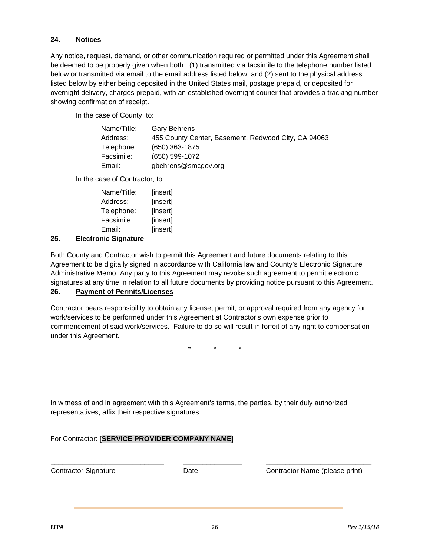#### **24. Notices**

Any notice, request, demand, or other communication required or permitted under this Agreement shall be deemed to be properly given when both: (1) transmitted via facsimile to the telephone number listed below or transmitted via email to the email address listed below; and (2) sent to the physical address listed below by either being deposited in the United States mail, postage prepaid, or deposited for overnight delivery, charges prepaid, with an established overnight courier that provides a tracking number showing confirmation of receipt.

In the case of County, to:

| Name/Title: | Gary Behrens                                        |
|-------------|-----------------------------------------------------|
| Address:    | 455 County Center, Basement, Redwood City, CA 94063 |
| Telephone:  | (650) 363-1875                                      |
| Facsimile:  | (650) 599-1072                                      |
| Email:      | gbehrens@smcgov.org                                 |

In the case of Contractor, to:

| Name/Title: | [insert] |
|-------------|----------|
| Address:    | [insert] |
| Telephone:  | [insert] |
| Facsimile:  | [insert] |
| Email:      | [insert] |

#### **25. Electronic Signature**

Both County and Contractor wish to permit this Agreement and future documents relating to this Agreement to be digitally signed in accordance with California law and County's Electronic Signature Administrative Memo. Any party to this Agreement may revoke such agreement to permit electronic signatures at any time in relation to all future documents by providing notice pursuant to this Agreement.

#### **26. Payment of Permits/Licenses**

Contractor bears responsibility to obtain any license, permit, or approval required from any agency for work/services to be performed under this Agreement at Contractor's own expense prior to commencement of said work/services. Failure to do so will result in forfeit of any right to compensation under this Agreement.

\* \* \*

In witness of and in agreement with this Agreement's terms, the parties, by their duly authorized representatives, affix their respective signatures:

#### For Contractor: [**SERVICE PROVIDER COMPANY NAME**]

Contractor Signature

**\_\_\_\_\_\_\_\_\_\_\_\_\_\_\_\_\_\_\_\_\_\_\_\_\_\_\_\_\_**

Date

**\_\_\_\_\_\_\_\_\_\_\_\_\_\_\_\_\_\_\_\_\_\_\_\_\_\_\_** Contractor Name (please print)

**\_\_\_\_\_\_\_\_\_\_\_\_\_\_\_**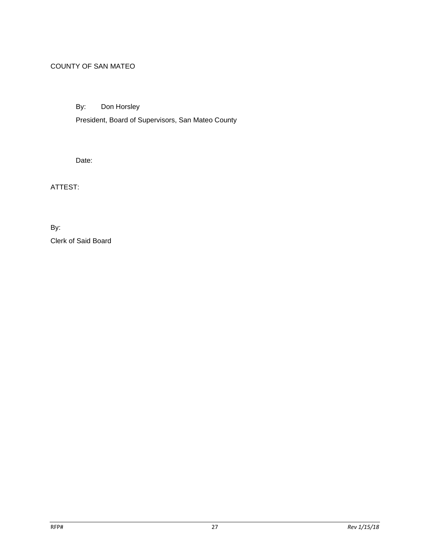### COUNTY OF SAN MATEO

By: Don Horsley

President, Board of Supervisors, San Mateo County

Date:

ATTEST:

By: Clerk of Said Board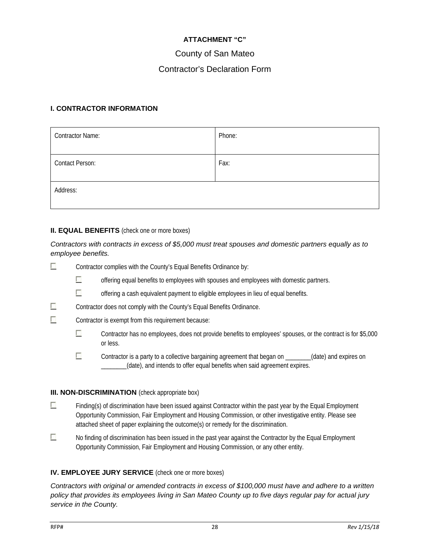#### **ATTACHMENT "C"**

### County of San Mateo

### Contractor's Declaration Form

#### **I. CONTRACTOR INFORMATION**

| <b>Contractor Name:</b> | Phone: |
|-------------------------|--------|
| <b>Contact Person:</b>  | Fax:   |
| Address:                |        |

#### **II. EQUAL BENEFITS** (check one or more boxes)

#### *Contractors with contracts in excess of \$5,000 must treat spouses and domestic partners equally as to employee benefits.*

- $\mathcal{C}$ Contractor complies with the County's Equal Benefits Ordinance by:
	- П offering equal benefits to employees with spouses and employees with domestic partners.
	- $\overline{\mathcal{L}}$ offering a cash equivalent payment to eligible employees in lieu of equal benefits.
- F Contractor does not comply with the County's Equal Benefits Ordinance.
- $\overline{\phantom{a}}$ Contractor is exempt from this requirement because:
	- $\overline{\mathcal{L}}$ Contractor has no employees, does not provide benefits to employees' spouses, or the contract is for \$5,000 or less.
	- $\overline{\mathcal{C}}$ Contractor is a party to a collective bargaining agreement that began on \_\_\_\_\_\_\_\_(date) and expires on \_\_\_\_\_\_\_\_(date), and intends to offer equal benefits when said agreement expires.

#### **III. NON-DISCRIMINATION** (check appropriate box)

- E. Finding(s) of discrimination have been issued against Contractor within the past year by the Equal Employment Opportunity Commission, Fair Employment and Housing Commission, or other investigative entity. Please see attached sheet of paper explaining the outcome(s) or remedy for the discrimination.
- $\mathcal{L}_{\mathcal{A}}$ No finding of discrimination has been issued in the past year against the Contractor by the Equal Employment Opportunity Commission, Fair Employment and Housing Commission, or any other entity.

#### **IV. EMPLOYEE JURY SERVICE** (check one or more boxes)

*Contractors with original or amended contracts in excess of \$100,000 must have and adhere to a written policy that provides its employees living in San Mateo County up to five days regular pay for actual jury service in the County.*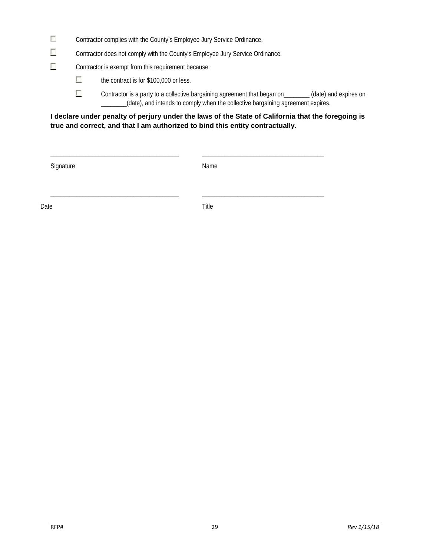- $\overline{\mathcal{L}}$ Contractor complies with the County's Employee Jury Service Ordinance.
- $\overline{\mathbb{R}}$ Contractor does not comply with the County's Employee Jury Service Ordinance.
- $\overline{\mathcal{L}}$ Contractor is exempt from this requirement because:
	- $\overline{\mathcal{L}}$ the contract is for \$100,000 or less.
	- $\overline{\mathcal{L}}$ Contractor is a party to a collective bargaining agreement that began on (date) and expires on \_\_\_\_\_\_\_\_(date), and intends to comply when the collective bargaining agreement expires.

#### **I declare under penalty of perjury under the laws of the State of California that the foregoing is true and correct, and that I am authorized to bind this entity contractually.**

Signature Name

\_\_\_\_\_\_\_\_\_\_\_\_\_\_\_\_\_\_\_\_\_\_\_\_\_\_\_\_\_\_\_\_\_\_\_\_\_\_\_\_ \_\_\_\_\_\_\_\_\_\_\_\_\_\_\_\_\_\_\_\_\_\_\_\_\_\_\_\_\_\_\_\_\_\_\_\_\_\_

\_\_\_\_\_\_\_\_\_\_\_\_\_\_\_\_\_\_\_\_\_\_\_\_\_\_\_\_\_\_\_\_\_\_\_\_\_\_\_\_ \_\_\_\_\_\_\_\_\_\_\_\_\_\_\_\_\_\_\_\_\_\_\_\_\_\_\_\_\_\_\_\_\_\_\_\_\_\_

Date **Date** Title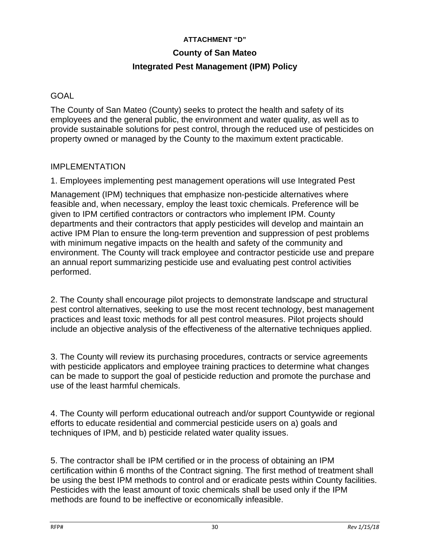### **ATTACHMENT "D"**

### **County of San Mateo**

### **Integrated Pest Management (IPM) Policy**

### **GOAL**

The County of San Mateo (County) seeks to protect the health and safety of its employees and the general public, the environment and water quality, as well as to provide sustainable solutions for pest control, through the reduced use of pesticides on property owned or managed by the County to the maximum extent practicable.

### IMPLEMENTATION

1. Employees implementing pest management operations will use Integrated Pest

Management (IPM) techniques that emphasize non-pesticide alternatives where feasible and, when necessary, employ the least toxic chemicals. Preference will be given to IPM certified contractors or contractors who implement IPM. County departments and their contractors that apply pesticides will develop and maintain an active IPM Plan to ensure the long-term prevention and suppression of pest problems with minimum negative impacts on the health and safety of the community and environment. The County will track employee and contractor pesticide use and prepare an annual report summarizing pesticide use and evaluating pest control activities performed.

2. The County shall encourage pilot projects to demonstrate landscape and structural pest control alternatives, seeking to use the most recent technology, best management practices and least toxic methods for all pest control measures. Pilot projects should include an objective analysis of the effectiveness of the alternative techniques applied.

3. The County will review its purchasing procedures, contracts or service agreements with pesticide applicators and employee training practices to determine what changes can be made to support the goal of pesticide reduction and promote the purchase and use of the least harmful chemicals.

4. The County will perform educational outreach and/or support Countywide or regional efforts to educate residential and commercial pesticide users on a) goals and techniques of IPM, and b) pesticide related water quality issues.

5. The contractor shall be IPM certified or in the process of obtaining an IPM certification within 6 months of the Contract signing. The first method of treatment shall be using the best IPM methods to control and or eradicate pests within County facilities. Pesticides with the least amount of toxic chemicals shall be used only if the IPM methods are found to be ineffective or economically infeasible.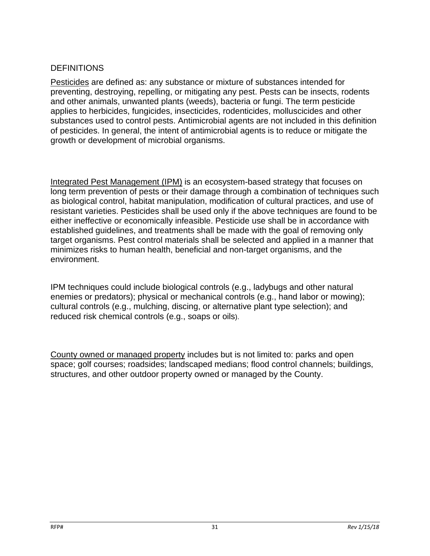### **DEFINITIONS**

Pesticides are defined as: any substance or mixture of substances intended for preventing, destroying, repelling, or mitigating any pest. Pests can be insects, rodents and other animals, unwanted plants (weeds), bacteria or fungi. The term pesticide applies to herbicides, fungicides, insecticides, rodenticides, molluscicides and other substances used to control pests. Antimicrobial agents are not included in this definition of pesticides. In general, the intent of antimicrobial agents is to reduce or mitigate the growth or development of microbial organisms.

Integrated Pest Management (IPM) is an ecosystem-based strategy that focuses on long term prevention of pests or their damage through a combination of techniques such as biological control, habitat manipulation, modification of cultural practices, and use of resistant varieties. Pesticides shall be used only if the above techniques are found to be either ineffective or economically infeasible. Pesticide use shall be in accordance with established guidelines, and treatments shall be made with the goal of removing only target organisms. Pest control materials shall be selected and applied in a manner that minimizes risks to human health, beneficial and non-target organisms, and the environment.

IPM techniques could include biological controls (e.g., ladybugs and other natural enemies or predators); physical or mechanical controls (e.g., hand labor or mowing); cultural controls (e.g., mulching, discing, or alternative plant type selection); and reduced risk chemical controls (e.g., soaps or oils).

County owned or managed property includes but is not limited to: parks and open space; golf courses; roadsides; landscaped medians; flood control channels; buildings, structures, and other outdoor property owned or managed by the County.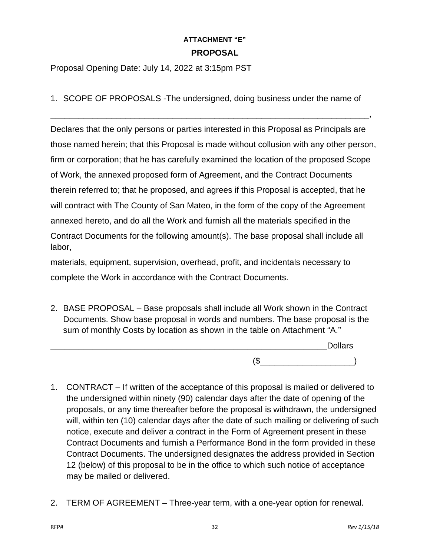### **ATTACHMENT "E" PROPOSAL**

Proposal Opening Date: July 14, 2022 at 3:15pm PST

1. SCOPE OF PROPOSALS -The undersigned, doing business under the name of

\_\_\_\_\_\_\_\_\_\_\_\_\_\_\_\_\_\_\_\_\_\_\_\_\_\_\_\_\_\_\_\_\_\_\_\_\_\_\_\_\_\_\_\_\_\_\_\_\_\_\_\_\_\_\_\_\_\_\_\_\_\_\_\_\_\_\_\_,

Declares that the only persons or parties interested in this Proposal as Principals are those named herein; that this Proposal is made without collusion with any other person, firm or corporation; that he has carefully examined the location of the proposed Scope of Work, the annexed proposed form of Agreement, and the Contract Documents therein referred to; that he proposed, and agrees if this Proposal is accepted, that he will contract with The County of San Mateo, in the form of the copy of the Agreement annexed hereto, and do all the Work and furnish all the materials specified in the Contract Documents for the following amount(s). The base proposal shall include all labor,

materials, equipment, supervision, overhead, profit, and incidentals necessary to complete the Work in accordance with the Contract Documents.

2. BASE PROPOSAL – Base proposals shall include all Work shown in the Contract Documents. Show base proposal in words and numbers. The base proposal is the sum of monthly Costs by location as shown in the table on Attachment "A."

\_\_\_\_\_\_\_\_\_\_\_\_\_\_\_\_\_\_\_\_\_\_\_\_\_\_\_\_\_\_\_\_\_\_\_\_\_\_\_\_\_\_\_\_\_\_\_\_\_\_\_\_\_\_\_\_\_\_\_Dollars  $(S_{\text{max}})$ 

- 1. CONTRACT If written of the acceptance of this proposal is mailed or delivered to the undersigned within ninety (90) calendar days after the date of opening of the proposals, or any time thereafter before the proposal is withdrawn, the undersigned will, within ten (10) calendar days after the date of such mailing or delivering of such notice, execute and deliver a contract in the Form of Agreement present in these Contract Documents and furnish a Performance Bond in the form provided in these Contract Documents. The undersigned designates the address provided in Section 12 (below) of this proposal to be in the office to which such notice of acceptance may be mailed or delivered.
- 2. TERM OF AGREEMENT Three-year term, with a one-year option for renewal.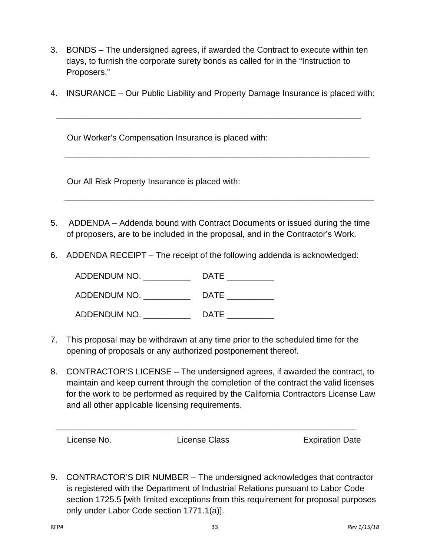- 3. BONDS The undersigned agrees, if awarded the Contract to execute within ten days, to furnish the corporate surety bonds as called for in the "Instruction to Proposers."
- 4. INSURANCE Our Public Liability and Property Damage Insurance is placed with:

\_\_\_\_\_\_\_\_\_\_\_\_\_\_\_\_\_\_\_\_\_\_\_\_\_\_\_\_\_\_\_\_\_\_\_\_\_\_\_\_\_\_\_\_\_\_\_\_\_\_\_\_\_\_\_\_\_\_\_\_\_\_\_\_\_

\_\_\_\_\_\_\_\_\_\_\_\_\_\_\_\_\_\_\_\_\_\_\_\_\_\_\_\_\_\_\_\_\_\_\_\_\_\_\_\_\_\_\_\_\_\_\_\_\_\_\_\_\_\_\_\_\_\_\_\_\_\_\_\_\_

Our Worker's Compensation Insurance is placed with:

Our All Risk Property Insurance is placed with:

5. ADDENDA – Addenda bound with Contract Documents or issued during the time of proposers, are to be included in the proposal, and in the Contractor's Work.

 $\frac{1}{\sqrt{2}}$  , and the contract of the contract of the contract of the contract of the contract of the contract of the contract of the contract of the contract of the contract of the contract of the contract of the contra

6. ADDENDA RECEIPT – The receipt of the following addenda is acknowledged:

| ADDENDUM NO. | <b>DATE</b> |
|--------------|-------------|
| ADDENDUM NO. | <b>DATE</b> |
| ADDENDUM NO. | <b>DATE</b> |

- 7. This proposal may be withdrawn at any time prior to the scheduled time for the opening of proposals or any authorized postponement thereof.
- 8. CONTRACTOR'S LICENSE The undersigned agrees, if awarded the contract, to maintain and keep current through the completion of the contract the valid licenses for the work to be performed as required by the California Contractors License Law and all other applicable licensing requirements.

| License No. |  |
|-------------|--|
|-------------|--|

\_\_\_\_\_\_\_\_\_\_\_\_\_\_\_\_\_\_\_\_\_\_\_\_\_\_\_\_\_\_\_\_\_\_\_\_\_\_\_\_\_\_\_\_\_\_\_\_\_\_\_\_\_\_\_\_\_\_\_\_\_\_\_\_

License Class Expiration Date

9. CONTRACTOR'S DIR NUMBER – The undersigned acknowledges that contractor is registered with the Department of Industrial Relations pursuant to Labor Code section 1725.5 [with limited exceptions from this requirement for proposal purposes only under Labor Code section 1771.1(a)].